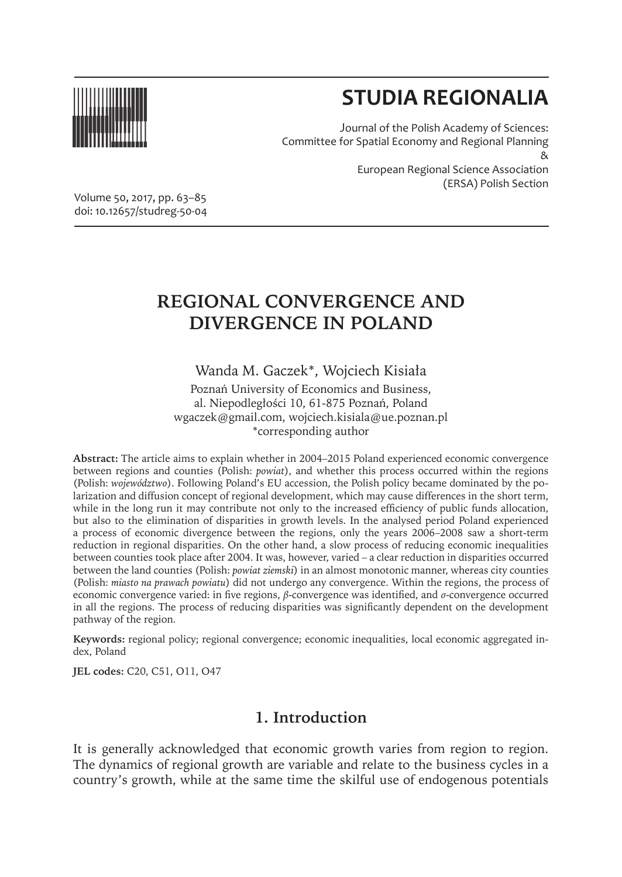

# **STUDIA REGIONALIA**

Journal of the Polish Academy of Sciences: Committee for Spatial Economy and Regional Planning & European Regional Science Association (ERSA) Polish Section

Volume 50, 2017, pp. 63–85 doi: 10.12657/studreg-50-04

## **REGIONAL CONVERGENCE AND DIVERGENCE IN POLAND**

Wanda M. Gaczek\*, Wojciech Kisiała

Poznań University of Economics and Business, al. Niepodległości 10, 61-875 Poznań, Poland wgaczek@gmail.com, wojciech.kisiala@ue.poznan.pl \*corresponding author

**Abstract:** The article aims to explain whether in 2004–2015 Poland experienced economic convergence between regions and counties (Polish: *powiat*), and whether this process occurred within the regions (Polish: *województwo*). Following Poland's EU accession, the Polish policy became dominated by the polarization and diffusion concept of regional development, which may cause differences in the short term, while in the long run it may contribute not only to the increased efficiency of public funds allocation, but also to the elimination of disparities in growth levels. In the analysed period Poland experienced a process of economic divergence between the regions, only the years 2006–2008 saw a short-term reduction in regional disparities. On the other hand, a slow process of reducing economic inequalities between counties took place after 2004. It was, however, varied – a clear reduction in disparities occurred between the land counties (Polish: *powiat ziemski*) in an almost monotonic manner, whereas city counties (Polish: *miasto na prawach powiatu*) did not undergo any convergence. Within the regions, the process of economic convergence varied: in five regions, *β*-convergence was identified, and *σ*-convergence occurred in all the regions. The process of reducing disparities was significantly dependent on the development pathway of the region.

**Keywords:** regional policy; regional convergence; economic inequalities, local economic aggregated index, Poland

**JEL codes:** C20, C51, O11, O47

## **1. Introduction**

It is generally acknowledged that economic growth varies from region to region. The dynamics of regional growth are variable and relate to the business cycles in a country's growth, while at the same time the skilful use of endogenous potentials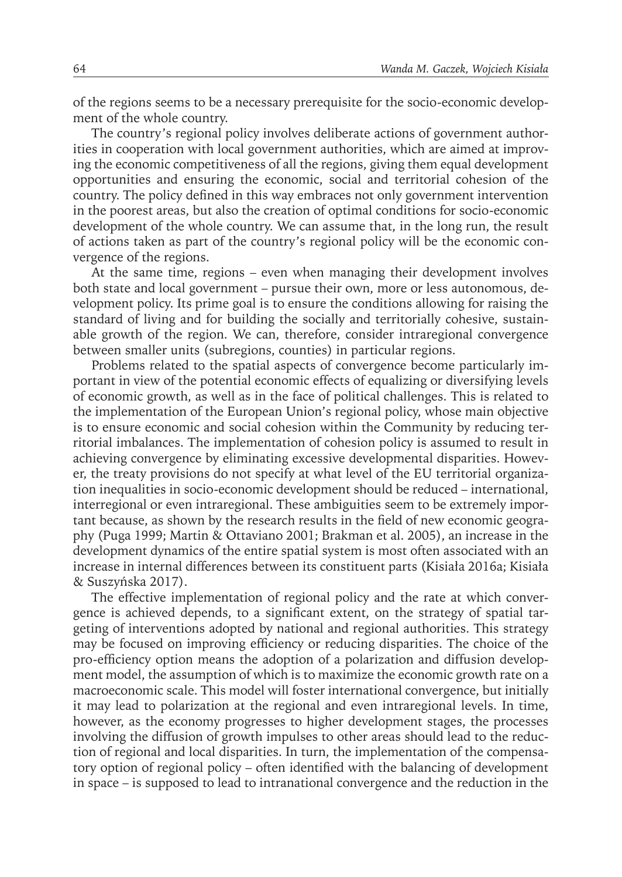of the regions seems to be a necessary prerequisite for the socio-economic development of the whole country.

The country's regional policy involves deliberate actions of government authorities in cooperation with local government authorities, which are aimed at improving the economic competitiveness of all the regions, giving them equal development opportunities and ensuring the economic, social and territorial cohesion of the country. The policy defined in this way embraces not only government intervention in the poorest areas, but also the creation of optimal conditions for socio-economic development of the whole country. We can assume that, in the long run, the result of actions taken as part of the country's regional policy will be the economic convergence of the regions.

At the same time, regions – even when managing their development involves both state and local government – pursue their own, more or less autonomous, development policy. Its prime goal is to ensure the conditions allowing for raising the standard of living and for building the socially and territorially cohesive, sustainable growth of the region. We can, therefore, consider intraregional convergence between smaller units (subregions, counties) in particular regions.

Problems related to the spatial aspects of convergence become particularly important in view of the potential economic effects of equalizing or diversifying levels of economic growth, as well as in the face of political challenges. This is related to the implementation of the European Union's regional policy, whose main objective is to ensure economic and social cohesion within the Community by reducing territorial imbalances. The implementation of cohesion policy is assumed to result in achieving convergence by eliminating excessive developmental disparities. However, the treaty provisions do not specify at what level of the EU territorial organization inequalities in socio-economic development should be reduced – international, interregional or even intraregional. These ambiguities seem to be extremely important because, as shown by the research results in the field of new economic geography (Puga 1999; Martin & Ottaviano 2001; Brakman et al. 2005), an increase in the development dynamics of the entire spatial system is most often associated with an increase in internal differences between its constituent parts (Kisiała 2016a; Kisiała & Suszyńska 2017).

The effective implementation of regional policy and the rate at which convergence is achieved depends, to a significant extent, on the strategy of spatial targeting of interventions adopted by national and regional authorities. This strategy may be focused on improving efficiency or reducing disparities. The choice of the pro-efficiency option means the adoption of a polarization and diffusion development model, the assumption of which is to maximize the economic growth rate on a macroeconomic scale. This model will foster international convergence, but initially it may lead to polarization at the regional and even intraregional levels. In time, however, as the economy progresses to higher development stages, the processes involving the diffusion of growth impulses to other areas should lead to the reduction of regional and local disparities. In turn, the implementation of the compensatory option of regional policy – often identified with the balancing of development in space – is supposed to lead to intranational convergence and the reduction in the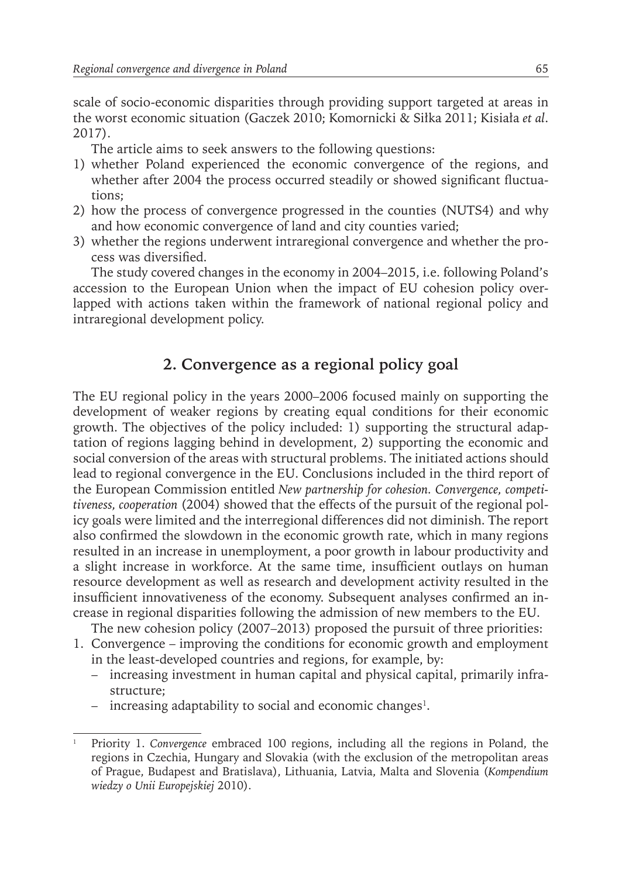scale of socio-economic disparities through providing support targeted at areas in the worst economic situation (Gaczek 2010; Komornicki & Siłka 2011; Kisiała *et al*. 2017).

The article aims to seek answers to the following questions:

- 1) whether Poland experienced the economic convergence of the regions, and whether after 2004 the process occurred steadily or showed significant fluctuations;
- 2) how the process of convergence progressed in the counties (NUTS4) and why and how economic convergence of land and city counties varied;
- 3) whether the regions underwent intraregional convergence and whether the process was diversified.

The study covered changes in the economy in 2004–2015, i.e. following Poland's accession to the European Union when the impact of EU cohesion policy overlapped with actions taken within the framework of national regional policy and intraregional development policy.

## **2. Convergence as a regional policy goal**

The EU regional policy in the years 2000–2006 focused mainly on supporting the development of weaker regions by creating equal conditions for their economic growth. The objectives of the policy included: 1) supporting the structural adaptation of regions lagging behind in development, 2) supporting the economic and social conversion of the areas with structural problems. The initiated actions should lead to regional convergence in the EU. Conclusions included in the third report of the European Commission entitled *New partnership for cohesion. Convergence, competitiveness, cooperation* (2004) showed that the effects of the pursuit of the regional policy goals were limited and the interregional differences did not diminish. The report also confirmed the slowdown in the economic growth rate, which in many regions resulted in an increase in unemployment, a poor growth in labour productivity and a slight increase in workforce. At the same time, insufficient outlays on human resource development as well as research and development activity resulted in the insufficient innovativeness of the economy. Subsequent analyses confirmed an increase in regional disparities following the admission of new members to the EU.

The new cohesion policy (2007–2013) proposed the pursuit of three priorities:

- 1. Convergence improving the conditions for economic growth and employment in the least-developed countries and regions, for example, by:
	- increasing investment in human capital and physical capital, primarily infrastructure;
	- increasing adaptability to social and economic changes<sup>1</sup>.

<sup>1</sup> Priority 1. *Convergence* embraced 100 regions, including all the regions in Poland, the regions in Czechia, Hungary and Slovakia (with the exclusion of the metropolitan areas of Prague, Budapest and Bratislava), Lithuania, Latvia, Malta and Slovenia (*Kompendium wiedzy o Unii Europejskiej* 2010).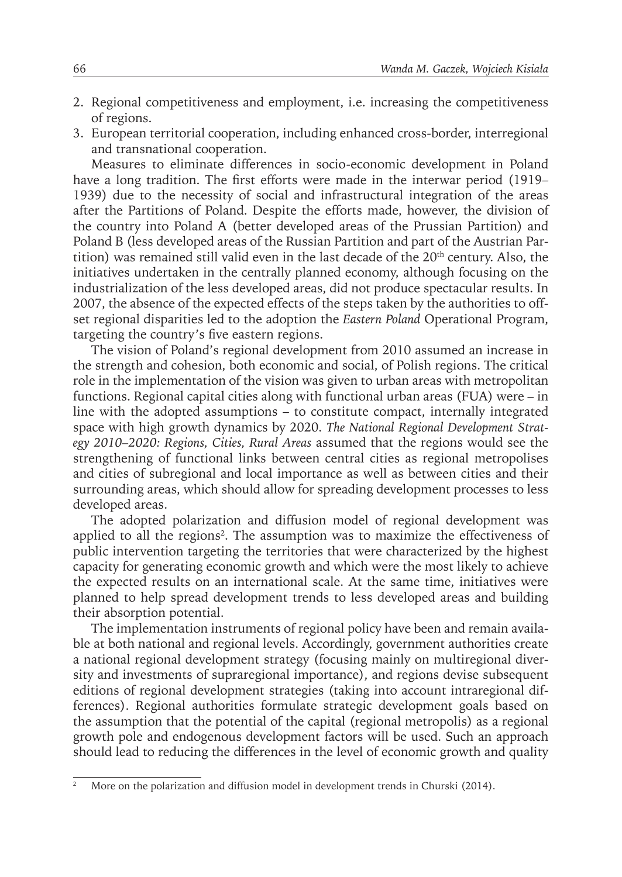- 2. Regional competitiveness and employment, i.e. increasing the competitiveness of regions.
- 3. European territorial cooperation, including enhanced cross-border, interregional and transnational cooperation.

Measures to eliminate differences in socio-economic development in Poland have a long tradition. The first efforts were made in the interwar period (1919– 1939) due to the necessity of social and infrastructural integration of the areas after the Partitions of Poland. Despite the efforts made, however, the division of the country into Poland A (better developed areas of the Prussian Partition) and Poland B (less developed areas of the Russian Partition and part of the Austrian Partition) was remained still valid even in the last decade of the 20<sup>th</sup> century. Also, the initiatives undertaken in the centrally planned economy, although focusing on the industrialization of the less developed areas, did not produce spectacular results. In 2007, the absence of the expected effects of the steps taken by the authorities to offset regional disparities led to the adoption the *Eastern Poland* Operational Program, targeting the country's five eastern regions.

The vision of Poland's regional development from 2010 assumed an increase in the strength and cohesion, both economic and social, of Polish regions. The critical role in the implementation of the vision was given to urban areas with metropolitan functions. Regional capital cities along with functional urban areas (FUA) were – in line with the adopted assumptions – to constitute compact, internally integrated space with high growth dynamics by 2020. *The National Regional Development Strategy 2010–2020: Regions, Cities, Rural Areas* assumed that the regions would see the strengthening of functional links between central cities as regional metropolises and cities of subregional and local importance as well as between cities and their surrounding areas, which should allow for spreading development processes to less developed areas.

The adopted polarization and diffusion model of regional development was applied to all the regions<sup>2</sup>. The assumption was to maximize the effectiveness of public intervention targeting the territories that were characterized by the highest capacity for generating economic growth and which were the most likely to achieve the expected results on an international scale. At the same time, initiatives were planned to help spread development trends to less developed areas and building their absorption potential.

The implementation instruments of regional policy have been and remain available at both national and regional levels. Accordingly, government authorities create a national regional development strategy (focusing mainly on multiregional diversity and investments of supraregional importance), and regions devise subsequent editions of regional development strategies (taking into account intraregional differences). Regional authorities formulate strategic development goals based on the assumption that the potential of the capital (regional metropolis) as a regional growth pole and endogenous development factors will be used. Such an approach should lead to reducing the differences in the level of economic growth and quality

<sup>2</sup> More on the polarization and diffusion model in development trends in Churski (2014).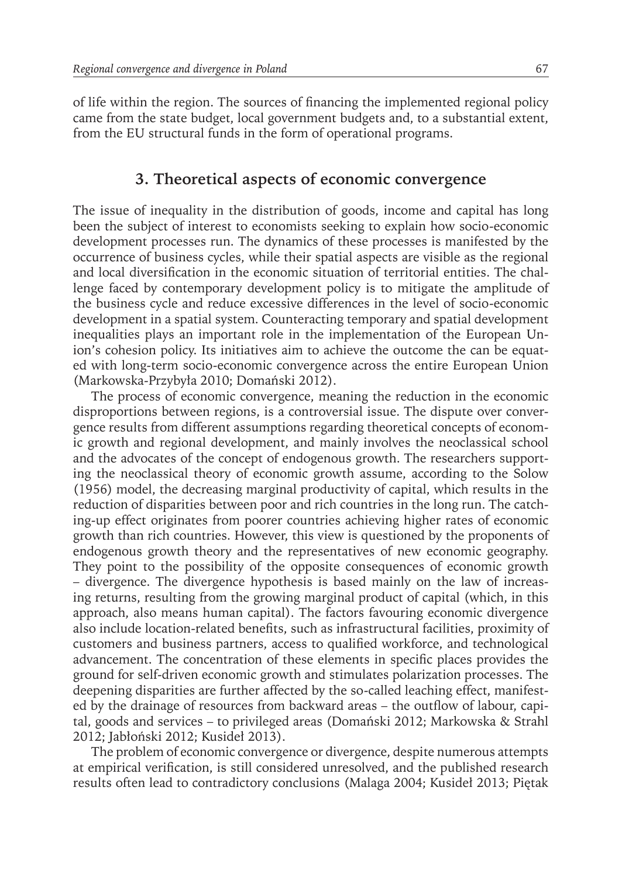of life within the region. The sources of financing the implemented regional policy came from the state budget, local government budgets and, to a substantial extent, from the EU structural funds in the form of operational programs.

#### **3. Theoretical aspects of economic convergence**

The issue of inequality in the distribution of goods, income and capital has long been the subject of interest to economists seeking to explain how socio-economic development processes run. The dynamics of these processes is manifested by the occurrence of business cycles, while their spatial aspects are visible as the regional and local diversification in the economic situation of territorial entities. The challenge faced by contemporary development policy is to mitigate the amplitude of the business cycle and reduce excessive differences in the level of socio-economic development in a spatial system. Counteracting temporary and spatial development inequalities plays an important role in the implementation of the European Union's cohesion policy. Its initiatives aim to achieve the outcome the can be equated with long-term socio-economic convergence across the entire European Union (Markowska-Przybyła 2010; Domański 2012).

The process of economic convergence, meaning the reduction in the economic disproportions between regions, is a controversial issue. The dispute over convergence results from different assumptions regarding theoretical concepts of economic growth and regional development, and mainly involves the neoclassical school and the advocates of the concept of endogenous growth. The researchers supporting the neoclassical theory of economic growth assume, according to the Solow (1956) model, the decreasing marginal productivity of capital, which results in the reduction of disparities between poor and rich countries in the long run. The catching-up effect originates from poorer countries achieving higher rates of economic growth than rich countries. However, this view is questioned by the proponents of endogenous growth theory and the representatives of new economic geography. They point to the possibility of the opposite consequences of economic growth – divergence. The divergence hypothesis is based mainly on the law of increasing returns, resulting from the growing marginal product of capital (which, in this approach, also means human capital). The factors favouring economic divergence also include location-related benefits, such as infrastructural facilities, proximity of customers and business partners, access to qualified workforce, and technological advancement. The concentration of these elements in specific places provides the ground for self-driven economic growth and stimulates polarization processes. The deepening disparities are further affected by the so-called leaching effect, manifested by the drainage of resources from backward areas – the outflow of labour, capital, goods and services – to privileged areas (Domański 2012; Markowska & Strahl 2012; Jabłoński 2012; Kusideł 2013).

The problem of economic convergence or divergence, despite numerous attempts at empirical verification, is still considered unresolved, and the published research results often lead to contradictory conclusions (Malaga 2004; Kusideł 2013; Piętak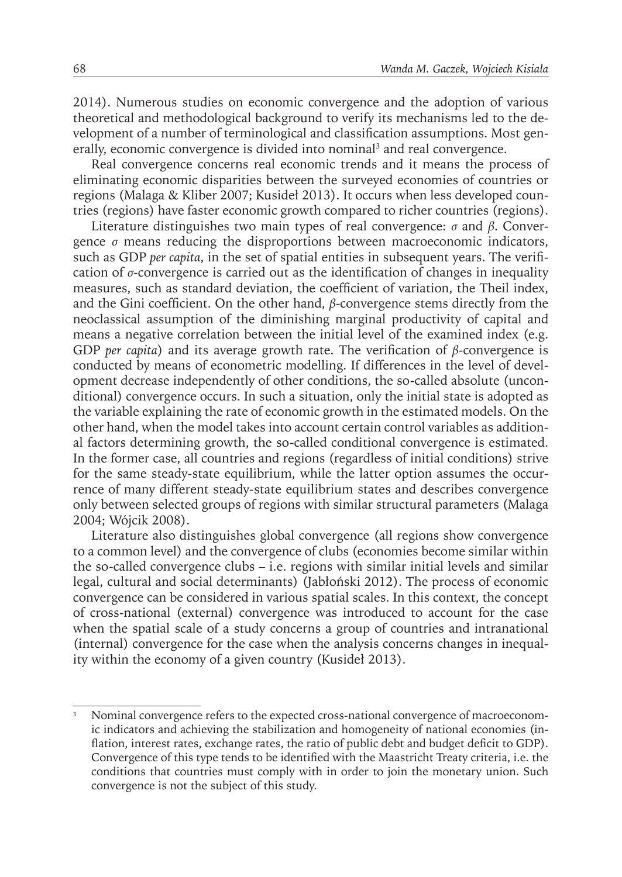2014). Numerous studies on economic convergence and the adoption of various theoretical and methodological background to verify its mechanisms led to the development of a number of terminological and classification assumptions. Most generally, economic convergence is divided into nominal<sup>3</sup> and real convergence.

Real convergence concerns real economic trends and it means the process of eliminating economic disparities between the surveyed economies of countries or regions (Malaga & Kliber 2007; Kusideł 2013). It occurs when less developed countries (regions) have faster economic growth compared to richer countries (regions).

Literature distinguishes two main types of real convergence: *σ* and *β*. Convergence *σ* means reducing the disproportions between macroeconomic indicators, such as GDP *per capita*, in the set of spatial entities in subsequent years. The verification of *σ*-convergence is carried out as the identification of changes in inequality measures, such as standard deviation, the coefficient of variation, the Theil index, and the Gini coefficient. On the other hand, *β*-convergence stems directly from the neoclassical assumption of the diminishing marginal productivity of capital and means a negative correlation between the initial level of the examined index (e.g. GDP *per capita*) and its average growth rate. The verification of *β*-convergence is conducted by means of econometric modelling. If differences in the level of development decrease independently of other conditions, the so-called absolute (unconditional) convergence occurs. In such a situation, only the initial state is adopted as the variable explaining the rate of economic growth in the estimated models. On the other hand, when the model takes into account certain control variables as additional factors determining growth, the so-called conditional convergence is estimated. In the former case, all countries and regions (regardless of initial conditions) strive for the same steady-state equilibrium, while the latter option assumes the occurrence of many different steady-state equilibrium states and describes convergence only between selected groups of regions with similar structural parameters (Malaga 2004; Wójcik 2008).

Literature also distinguishes global convergence (all regions show convergence to a common level) and the convergence of clubs (economies become similar within the so-called convergence clubs – i.e. regions with similar initial levels and similar legal, cultural and social determinants) (Jabłoński 2012). The process of economic convergence can be considered in various spatial scales. In this context, the concept of cross-national (external) convergence was introduced to account for the case when the spatial scale of a study concerns a group of countries and intranational (internal) convergence for the case when the analysis concerns changes in inequality within the economy of a given country (Kusideł 2013).

<sup>3</sup> Nominal convergence refers to the expected cross-national convergence of macroeconomic indicators and achieving the stabilization and homogeneity of national economies (inflation, interest rates, exchange rates, the ratio of public debt and budget deficit to GDP). Convergence of this type tends to be identified with the Maastricht Treaty criteria, i.e. the conditions that countries must comply with in order to join the monetary union. Such convergence is not the subject of this study.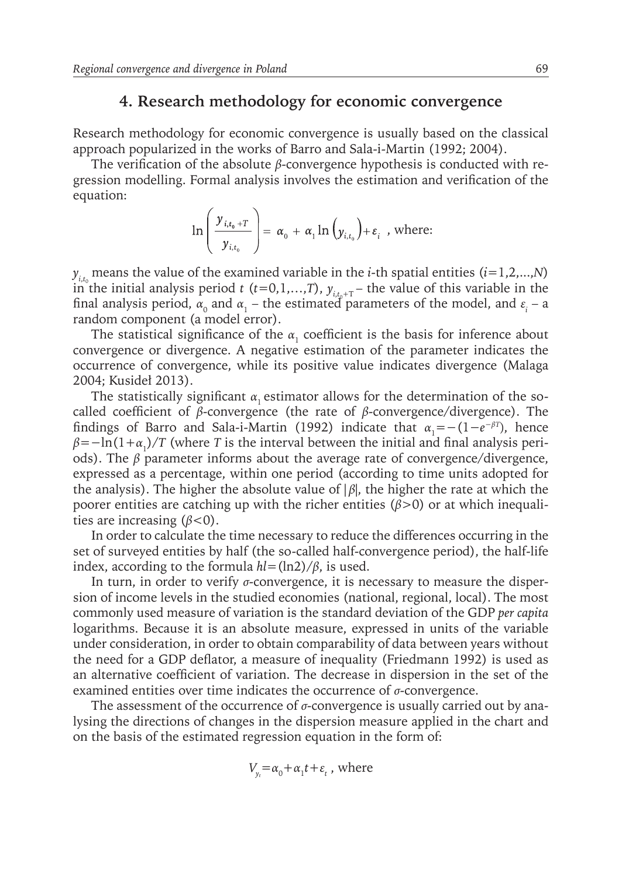#### **4. Research methodology for economic convergence**

Research methodology for economic convergence is usually based on the classical approach popularized in the works of Barro and Sala-i-Martin (1992; 2004).

The verification of the absolute *β*-convergence hypothesis is conducted with regression modelling. Formal analysis involves the estimation and verification of the equation:

$$
\ln\left(\frac{y_{i,t_0+T}}{y_{i,t_0}}\right) = \alpha_0 + \alpha_1 \ln\left(y_{i,t_0}\right) + \varepsilon_i \text{ , where: }
$$

 $y_{i,t_0}$  means the value of the examined variable in the *i*-th spatial entities (*i*=1,2,...,*N*) in the initial analysis period *t* (*t*=0,1,...,*T*),  $y_{i,t+T}$  – the value of this variable in the final analysis period,  $\alpha_0$  and  $\alpha_1$  – the estimated parameters of the model, and  $\varepsilon_i$  – a random component (a model error).

The statistical significance of the  $\alpha_1$  coefficient is the basis for inference about convergence or divergence. A negative estimation of the parameter indicates the occurrence of convergence, while its positive value indicates divergence (Malaga 2004; Kusideł 2013).

The statistically significant  $\alpha_1$  estimator allows for the determination of the socalled coefficient of *β*-convergence (the rate of *β*-convergence/divergence). The findings of Barro and Sala-i-Martin (1992) indicate that  $\alpha_1 = -(1 - e^{-\beta T})$ , hence *β*=−ln(1+*α*<sup>1</sup> )/*T* (where *T* is the interval between the initial and final analysis periods). The *β* parameter informs about the average rate of convergence/divergence, expressed as a percentage, within one period (according to time units adopted for the analysis). The higher the absolute value of  $|\beta|$ , the higher the rate at which the poorer entities are catching up with the richer entities (*β*>0) or at which inequalities are increasing (*β*<0).

In order to calculate the time necessary to reduce the differences occurring in the set of surveyed entities by half (the so-called half-convergence period), the half-life index, according to the formula  $hl = \frac{ln2}{\beta}$ , is used.

In turn, in order to verify *σ*-convergence, it is necessary to measure the dispersion of income levels in the studied economies (national, regional, local). The most commonly used measure of variation is the standard deviation of the GDP *per capita* logarithms. Because it is an absolute measure, expressed in units of the variable under consideration, in order to obtain comparability of data between years without the need for a GDP deflator, a measure of inequality (Friedmann 1992) is used as an alternative coefficient of variation. The decrease in dispersion in the set of the examined entities over time indicates the occurrence of *σ*-convergence.

The assessment of the occurrence of *σ*-convergence is usually carried out by analysing the directions of changes in the dispersion measure applied in the chart and on the basis of the estimated regression equation in the form of:

$$
V_{y_t} = \alpha_0 + \alpha_1 t + \varepsilon_t
$$
, where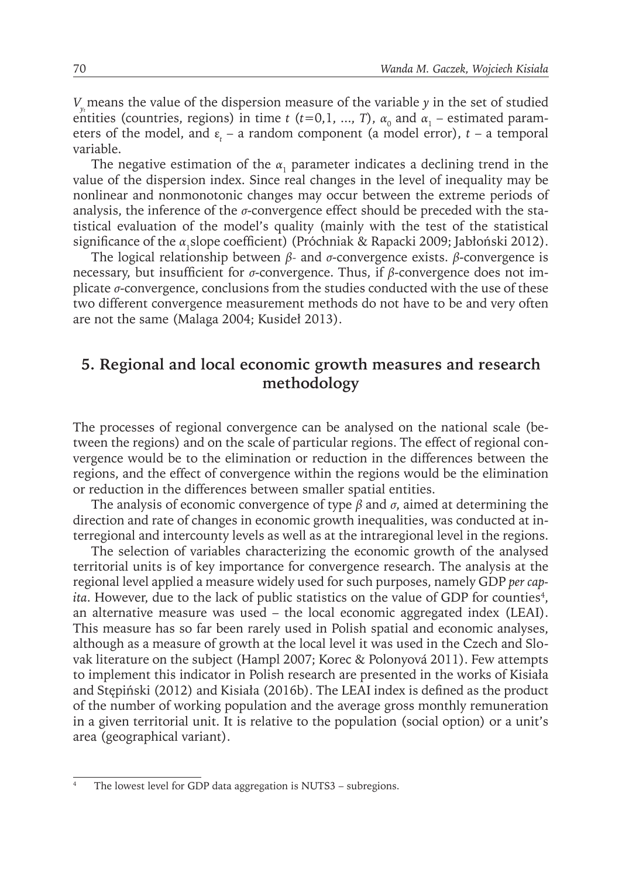*V*<sub>*y*</sub><sup>*n*</sup> means the value of the dispersion measure of the variable *y* in the set of studied entities (countries, regions) in time *t* (*t*=0,1, ..., *T*),  $\alpha_0$  and  $\alpha_1$  – estimated parameters of the model, and  $\varepsilon_t$  – a random component (a model error),  $t$  – a temporal variable.

The negative estimation of the  $\alpha_1$  parameter indicates a declining trend in the value of the dispersion index. Since real changes in the level of inequality may be nonlinear and nonmonotonic changes may occur between the extreme periods of analysis, the inference of the *σ*-convergence effect should be preceded with the statistical evaluation of the model's quality (mainly with the test of the statistical significance of the α<sub>1</sub>slope coefficient) (Próchniak & Rapacki 2009; Jabłoński 2012).

The logical relationship between *β-* and *σ*-convergence exists. *β*-convergence is necessary, but insufficient for *σ*-convergence. Thus, if *β*-convergence does not implicate *σ*-convergence, conclusions from the studies conducted with the use of these two different convergence measurement methods do not have to be and very often are not the same (Malaga 2004; Kusideł 2013).

## **5. Regional and local economic growth measures and research methodology**

The processes of regional convergence can be analysed on the national scale (between the regions) and on the scale of particular regions. The effect of regional convergence would be to the elimination or reduction in the differences between the regions, and the effect of convergence within the regions would be the elimination or reduction in the differences between smaller spatial entities.

The analysis of economic convergence of type *β* and *σ*, aimed at determining the direction and rate of changes in economic growth inequalities, was conducted at interregional and intercounty levels as well as at the intraregional level in the regions.

The selection of variables characterizing the economic growth of the analysed territorial units is of key importance for convergence research. The analysis at the regional level applied a measure widely used for such purposes, namely GDP *per capita*. However, due to the lack of public statistics on the value of GDP for counties<sup>4</sup>, an alternative measure was used – the local economic aggregated index (LEAI). This measure has so far been rarely used in Polish spatial and economic analyses, although as a measure of growth at the local level it was used in the Czech and Slovak literature on the subject (Hampl 2007; Korec & Polonyová 2011). Few attempts to implement this indicator in Polish research are presented in the works of Kisiała and Stępiński (2012) and Kisiała (2016b). The LEAI index is defined as the product of the number of working population and the average gross monthly remuneration in a given territorial unit. It is relative to the population (social option) or a unit's area (geographical variant).

The lowest level for GDP data aggregation is NUTS3 – subregions.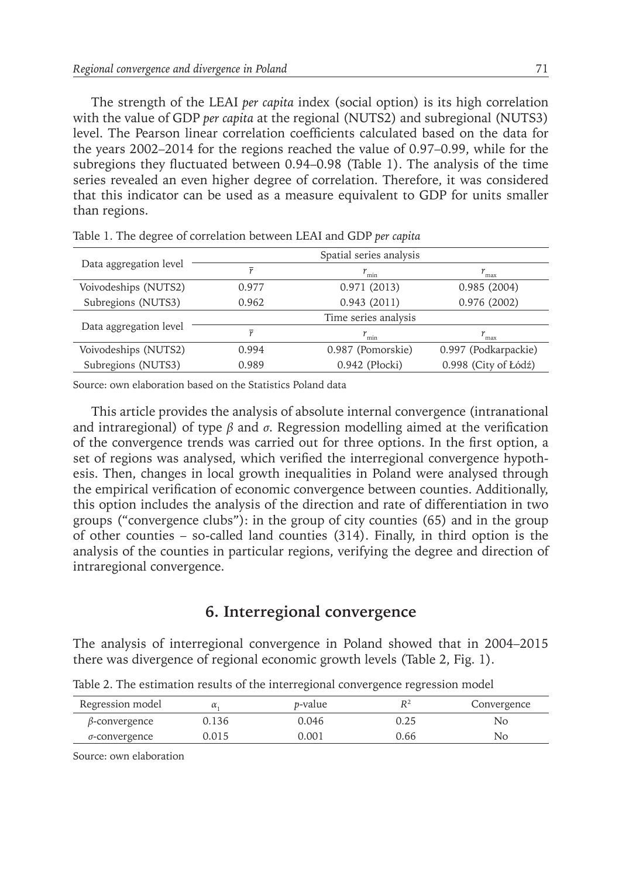The strength of the LEAI *per capita* index (social option) is its high correlation with the value of GDP *per capita* at the regional (NUTS2) and subregional (NUTS3) level. The Pearson linear correlation coefficients calculated based on the data for the years 2002–2014 for the regions reached the value of 0.97–0.99, while for the subregions they fluctuated between 0.94–0.98 (Table 1). The analysis of the time series revealed an even higher degree of correlation. Therefore, it was considered that this indicator can be used as a measure equivalent to GDP for units smaller than regions.

|                        |                  | Spatial series analysis |                      |  |
|------------------------|------------------|-------------------------|----------------------|--|
| Data aggregation level | $\overline{\nu}$ | $r_{\min}$              | $r_{\rm max}$        |  |
| Voivodeships (NUTS2)   | 0.977            | 0.971(2013)             | 0.985(2004)          |  |
| Subregions (NUTS3)     | 0.962            | 0.943(2011)             | 0.976(2002)          |  |
|                        |                  | Time series analysis    |                      |  |
| Data aggregation level | $\overline{\nu}$ | $r_{\min}$              | $r_{\rm max}$        |  |
| Voivodeships (NUTS2)   | 0.994            | 0.987 (Pomorskie)       | 0.997 (Podkarpackie) |  |
| Subregions (NUTS3)     | 0.989            | 0.942 (Płocki)          | 0.998 (City of Łódź) |  |

Table 1. The degree of correlation between LEAI and GDP *per capita*

Source: own elaboration based on the Statistics Poland data

This article provides the analysis of absolute internal convergence (intranational and intraregional) of type  $\beta$  and  $\sigma$ . Regression modelling aimed at the verification of the convergence trends was carried out for three options. In the first option, a set of regions was analysed, which verified the interregional convergence hypothesis. Then, changes in local growth inequalities in Poland were analysed through the empirical verification of economic convergence between counties. Additionally, this option includes the analysis of the direction and rate of differentiation in two groups ("convergence clubs"): in the group of city counties (65) and in the group of other counties – so-called land counties (314). Finally, in third option is the analysis of the counties in particular regions, verifying the degree and direction of intraregional convergence.

#### **6. Interregional convergence**

The analysis of interregional convergence in Poland showed that in 2004–2015 there was divergence of regional economic growth levels (Table 2, Fig. 1).

Table 2. The estimation results of the interregional convergence regression model

| Regression model      | α     | <i>p</i> -value | $R^2$ | Convergence |
|-----------------------|-------|-----------------|-------|-------------|
| $\beta$ -convergence  | 0.136 | 0.046           | 0.25  | No          |
| $\sigma$ -convergence | 0.015 | 0.001           | 0.66  | No.         |

Source: own elaboration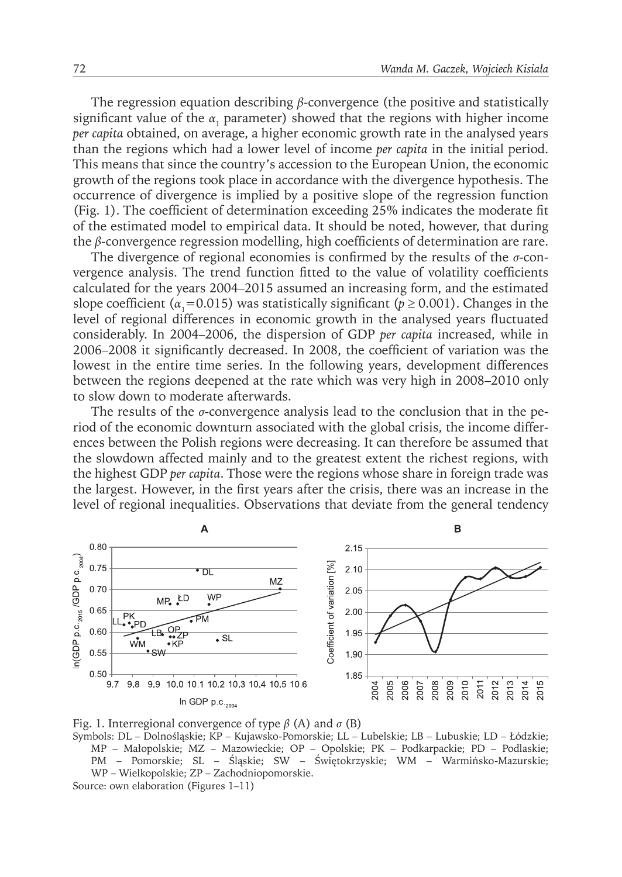The regression equation describing *β*-convergence (the positive and statistically significant value of the  $\alpha_1$  parameter) showed that the regions with higher income *per capita* obtained, on average, a higher economic growth rate in the analysed years than the regions which had a lower level of income *per capita* in the initial period. This means that since the country's accession to the European Union, the economic growth of the regions took place in accordance with the divergence hypothesis. The occurrence of divergence is implied by a positive slope of the regression function (Fig. 1). The coefficient of determination exceeding 25% indicates the moderate fit of the estimated model to empirical data. It should be noted, however, that during the *β*-convergence regression modelling, high coefficients of determination are rare.

The divergence of regional economies is confirmed by the results of the *σ*-convergence analysis. The trend function fitted to the value of volatility coefficients calculated for the years 2004–2015 assumed an increasing form, and the estimated slope coefficient ( $\alpha_1$ =0.015) was statistically significant ( $p \ge 0.001$ ). Changes in the level of regional differences in economic growth in the analysed years fluctuated considerably. In 2004–2006, the dispersion of GDP *per capita* increased, while in 2006–2008 it significantly decreased. In 2008, the coefficient of variation was the lowest in the entire time series. In the following years, development differences between the regions deepened at the rate which was very high in 2008–2010 only to slow down to moderate afterwards.

The results of the *σ*-convergence analysis lead to the conclusion that in the period of the economic downturn associated with the global crisis, the income differences between the Polish regions were decreasing. It can therefore be assumed that the slowdown affected mainly and to the greatest extent the richest regions, with the highest GDP *per capita*. Those were the regions whose share in foreign trade was the largest. However, in the first years after the crisis, there was an increase in the level of regional inequalities. Observations that deviate from the general tendency





Symbols: DL – Dolnośląskie; KP – Kujawsko-Pomorskie; LL – Lubelskie; LB – Lubuskie; LD – Łódzkie; MP – Małopolskie; MZ – Mazowieckie; OP – Opolskie; PK – Podkarpackie; PD – Podlaskie; PM – Pomorskie; SL – Śląskie; SW – Świętokrzyskie; WM – Warmińsko-Mazurskie; WP – Wielkopolskie; ZP – Zachodniopomorskie. Source: own elaboration (Figures 1–11)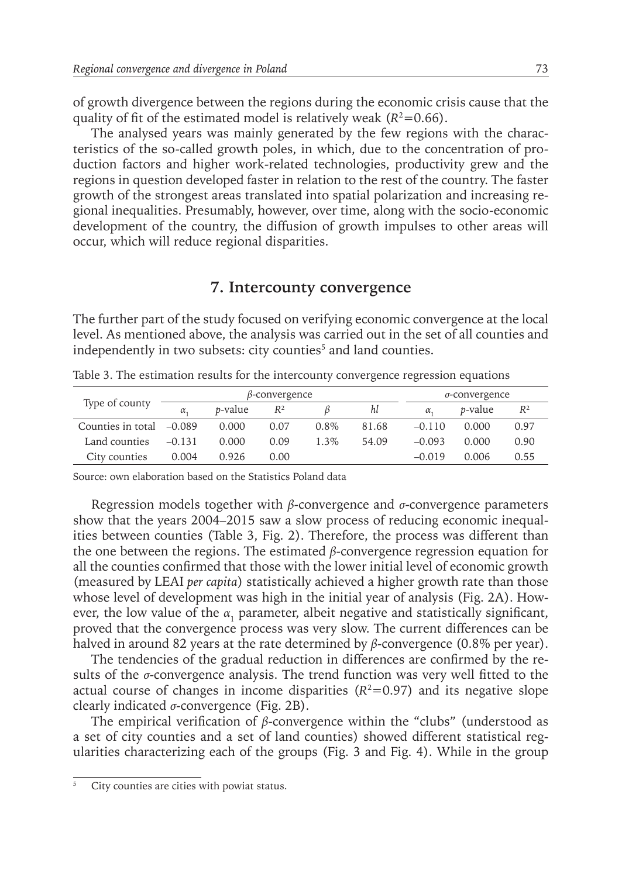of growth divergence between the regions during the economic crisis cause that the quality of fit of the estimated model is relatively weak  $(R^2=0.66)$ .

The analysed years was mainly generated by the few regions with the characteristics of the so-called growth poles, in which, due to the concentration of production factors and higher work-related technologies, productivity grew and the regions in question developed faster in relation to the rest of the country. The faster growth of the strongest areas translated into spatial polarization and increasing regional inequalities. Presumably, however, over time, along with the socio-economic development of the country, the diffusion of growth impulses to other areas will occur, which will reduce regional disparities.

#### **7. Intercounty convergence**

The further part of the study focused on verifying economic convergence at the local level. As mentioned above, the analysis was carried out in the set of all counties and independently in two subsets: city counties<sup>5</sup> and land counties.

| Type of county<br>Counties in total $-0.089$ | $\beta$ -convergence |                 |       |         |       | $\sigma$ -convergence |                 |       |
|----------------------------------------------|----------------------|-----------------|-------|---------|-------|-----------------------|-----------------|-------|
|                                              | $\alpha$             | <i>p</i> -value | $R^2$ |         | hl    | $\alpha$              | <i>p</i> -value | $R^2$ |
|                                              |                      | 0.000           | 0.07  | $0.8\%$ | 81.68 | $-0.110$              | 0.000           | 0.97  |
| Land counties                                | $-0.131$             | 0.000           | 0.09  | 1.3%    | 54.09 | $-0.093$              | 0.000           | 0.90  |
| City counties                                | 0.004                | 0.926           | 0.00  |         |       | $-0.019$              | 0.006           | 0.55  |

Table 3. The estimation results for the intercounty convergence regression equations

Source: own elaboration based on the Statistics Poland data

Regression models together with *β*-convergence and *σ*-convergence parameters show that the years 2004–2015 saw a slow process of reducing economic inequalities between counties (Table 3, Fig. 2). Therefore, the process was different than the one between the regions. The estimated *β*-convergence regression equation for all the counties confirmed that those with the lower initial level of economic growth (measured by LEAI *per capita*) statistically achieved a higher growth rate than those whose level of development was high in the initial year of analysis (Fig. 2A). However, the low value of the  $\alpha_1$  parameter, albeit negative and statistically significant, proved that the convergence process was very slow. The current differences can be halved in around 82 years at the rate determined by *β*-convergence (0.8% per year).

The tendencies of the gradual reduction in differences are confirmed by the results of the *σ*-convergence analysis. The trend function was very well fitted to the actual course of changes in income disparities  $(R^2=0.97)$  and its negative slope clearly indicated *σ*-convergence (Fig. 2B).

The empirical verification of *β*-convergence within the "clubs" (understood as a set of city counties and a set of land counties) showed different statistical regularities characterizing each of the groups (Fig. 3 and Fig. 4). While in the group

<sup>5</sup> City counties are cities with powiat status.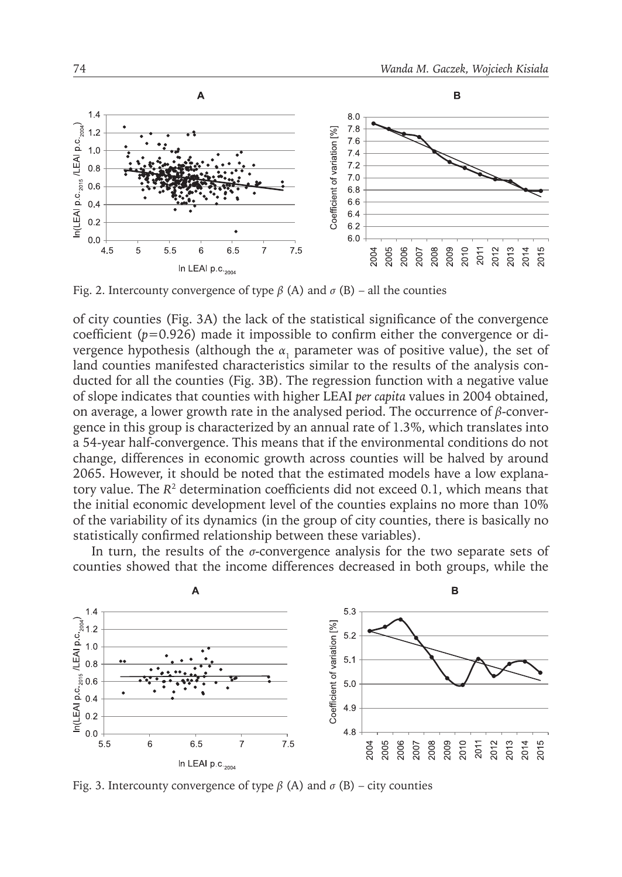

Fig. 2. Intercounty convergence of type  $\beta$  (A) and  $\sigma$  (B) – all the counties

of city counties (Fig. 3A) the lack of the statistical significance of the convergence coefficient (*p*=0.926) made it impossible to confirm either the convergence or divergence hypothesis (although the  $\alpha_1$  parameter was of positive value), the set of land counties manifested characteristics similar to the results of the analysis conducted for all the counties (Fig. 3B). The regression function with a negative value of slope indicates that counties with higher LEAI *per capita* values in 2004 obtained, on average, a lower growth rate in the analysed period. The occurrence of *β*-convergence in this group is characterized by an annual rate of 1.3%, which translates into a 54-year half-convergence. This means that if the environmental conditions do not change, differences in economic growth across counties will be halved by around 2065. However, it should be noted that the estimated models have a low explanatory value. The *R*<sup>2</sup> determination coefficients did not exceed 0.1, which means that the initial economic development level of the counties explains no more than 10% of the variability of its dynamics (in the group of city counties, there is basically no statistically confirmed relationship between these variables).

In turn, the results of the *σ*-convergence analysis for the two separate sets of counties showed that the income differences decreased in both groups, while the



Fig. 3. Intercounty convergence of type  $\beta$  (A) and  $\sigma$  (B) – city counties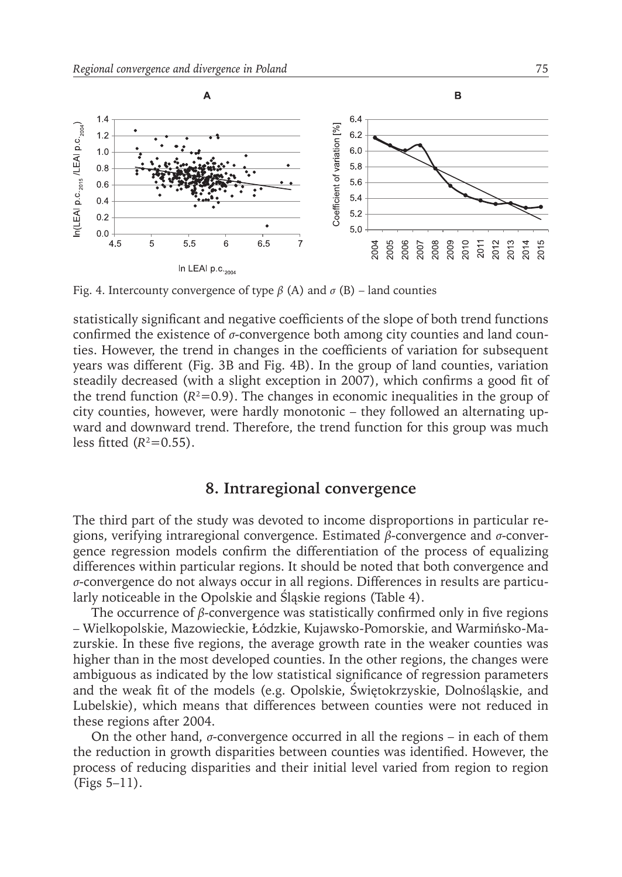

Fig. 4. Intercounty convergence of type  $\beta$  (A) and  $\sigma$  (B) – land counties

statistically significant and negative coefficients of the slope of both trend functions confirmed the existence of *σ*-convergence both among city counties and land counties. However, the trend in changes in the coefficients of variation for subsequent years was different (Fig. 3B and Fig. 4B). In the group of land counties, variation steadily decreased (with a slight exception in 2007), which confirms a good fit of the trend function  $(R^2=0.9)$ . The changes in economic inequalities in the group of city counties, however, were hardly monotonic – they followed an alternating upward and downward trend. Therefore, the trend function for this group was much less fitted  $(R^2=0.55)$ .

## **8. Intraregional convergence**

The third part of the study was devoted to income disproportions in particular regions, verifying intraregional convergence. Estimated *β*-convergence and *σ*-convergence regression models confirm the differentiation of the process of equalizing differences within particular regions. It should be noted that both convergence and *σ*-convergence do not always occur in all regions. Differences in results are particularly noticeable in the Opolskie and Śląskie regions (Table 4).

The occurrence of *β*-convergence was statistically confirmed only in five regions – Wielkopolskie, Mazowieckie, Łódzkie, Kujawsko-Pomorskie, and Warmińsko-Mazurskie. In these five regions, the average growth rate in the weaker counties was higher than in the most developed counties. In the other regions, the changes were ambiguous as indicated by the low statistical significance of regression parameters and the weak fit of the models (e.g. Opolskie, Świętokrzyskie, Dolnośląskie, and Lubelskie), which means that differences between counties were not reduced in these regions after 2004.

On the other hand,  $\sigma$ -convergence occurred in all the regions – in each of them the reduction in growth disparities between counties was identified. However, the process of reducing disparities and their initial level varied from region to region (Figs 5–11).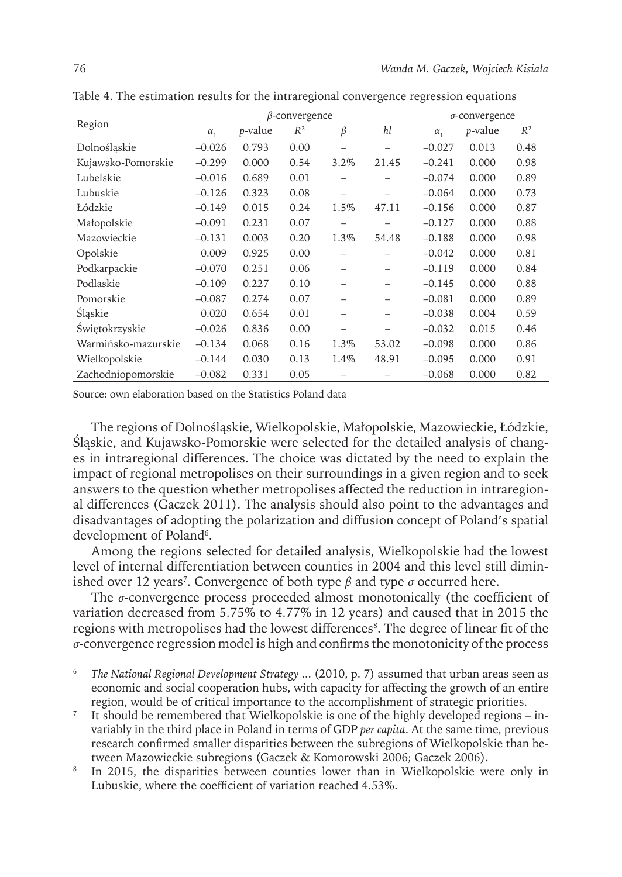| Region              | $\beta$ -convergence |                 |       |                          |                          |              | $\sigma$ -convergence |       |  |
|---------------------|----------------------|-----------------|-------|--------------------------|--------------------------|--------------|-----------------------|-------|--|
|                     | $\alpha_{1}$         | <i>p</i> -value | $R^2$ | β                        | hl                       | $\alpha_{1}$ | <i>p</i> -value       | $R^2$ |  |
| Dolnośląskie        | $-0.026$             | 0.793           | 0.00  |                          |                          | $-0.027$     | 0.013                 | 0.48  |  |
| Kujawsko-Pomorskie  | $-0.299$             | 0.000           | 0.54  | 3.2%                     | 21.45                    | $-0.241$     | 0.000                 | 0.98  |  |
| Lubelskie           | $-0.016$             | 0.689           | 0.01  |                          |                          | $-0.074$     | 0.000                 | 0.89  |  |
| Lubuskie            | $-0.126$             | 0.323           | 0.08  |                          |                          | $-0.064$     | 0.000                 | 0.73  |  |
| Łódzkie             | $-0.149$             | 0.015           | 0.24  | 1.5%                     | 47.11                    | $-0.156$     | 0.000                 | 0.87  |  |
| Małopolskie         | $-0.091$             | 0.231           | 0.07  | $\qquad \qquad -$        |                          | $-0.127$     | 0.000                 | 0.88  |  |
| Mazowieckie         | $-0.131$             | 0.003           | 0.20  | 1.3%                     | 54.48                    | $-0.188$     | 0.000                 | 0.98  |  |
| Opolskie            | 0.009                | 0.925           | 0.00  |                          |                          | $-0.042$     | 0.000                 | 0.81  |  |
| Podkarpackie        | $-0.070$             | 0.251           | 0.06  | -                        |                          | $-0.119$     | 0.000                 | 0.84  |  |
| Podlaskie           | $-0.109$             | 0.227           | 0.10  | -                        | -                        | $-0.145$     | 0.000                 | 0.88  |  |
| Pomorskie           | $-0.087$             | 0.274           | 0.07  | -                        |                          | $-0.081$     | 0.000                 | 0.89  |  |
| Śląskie             | 0.020                | 0.654           | 0.01  | -                        | -                        | $-0.038$     | 0.004                 | 0.59  |  |
| Swiętokrzyskie      | $-0.026$             | 0.836           | 0.00  | $\overline{\phantom{0}}$ | $\overline{\phantom{0}}$ | $-0.032$     | 0.015                 | 0.46  |  |
| Warmińsko-mazurskie | $-0.134$             | 0.068           | 0.16  | 1.3%                     | 53.02                    | $-0.098$     | 0.000                 | 0.86  |  |
| Wielkopolskie       | $-0.144$             | 0.030           | 0.13  | 1.4%                     | 48.91                    | $-0.095$     | 0.000                 | 0.91  |  |
| Zachodniopomorskie  | $-0.082$             | 0.331           | 0.05  |                          |                          | $-0.068$     | 0.000                 | 0.82  |  |

Table 4. The estimation results for the intraregional convergence regression equations

Source: own elaboration based on the Statistics Poland data

The regions of Dolnośląskie, Wielkopolskie, Małopolskie, Mazowieckie, Łódzkie, Śląskie, and Kujawsko-Pomorskie were selected for the detailed analysis of changes in intraregional differences. The choice was dictated by the need to explain the impact of regional metropolises on their surroundings in a given region and to seek answers to the question whether metropolises affected the reduction in intraregional differences (Gaczek 2011). The analysis should also point to the advantages and disadvantages of adopting the polarization and diffusion concept of Poland's spatial development of Poland<sup>6</sup>.

Among the regions selected for detailed analysis, Wielkopolskie had the lowest level of internal differentiation between counties in 2004 and this level still diminished over 12 years7 . Convergence of both type *β* and type *σ* occurred here.

The *σ*-convergence process proceeded almost monotonically (the coefficient of variation decreased from 5.75% to 4.77% in 12 years) and caused that in 2015 the regions with metropolises had the lowest differences<sup>8</sup>. The degree of linear fit of the *σ*-convergence regression model is high and confirms the monotonicity of the process

<sup>6</sup> *The National Regional Development Strategy* ... (2010, p. 7) assumed that urban areas seen as economic and social cooperation hubs, with capacity for affecting the growth of an entire region, would be of critical importance to the accomplishment of strategic priorities.

It should be remembered that Wielkopolskie is one of the highly developed regions – invariably in the third place in Poland in terms of GDP *per capita*. At the same time, previous research confirmed smaller disparities between the subregions of Wielkopolskie than between Mazowieckie subregions (Gaczek & Komorowski 2006; Gaczek 2006).

<sup>&</sup>lt;sup>8</sup> In 2015, the disparities between counties lower than in Wielkopolskie were only in Lubuskie, where the coefficient of variation reached 4.53%.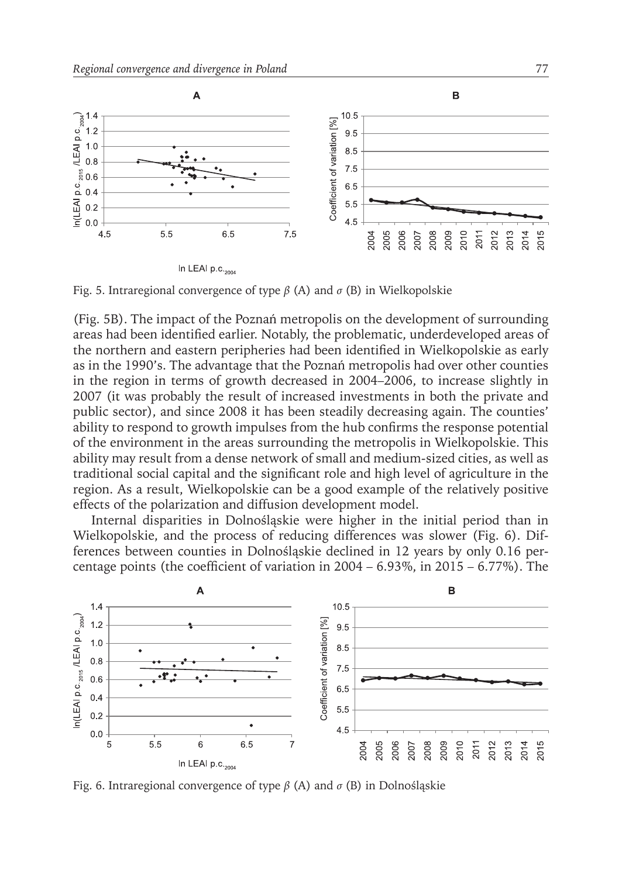

Fig. 5. Intraregional convergence of type *β* (A) and *σ* (B) in Wielkopolskie

(Fig. 5B). The impact of the Poznań metropolis on the development of surrounding areas had been identified earlier. Notably, the problematic, underdeveloped areas of the northern and eastern peripheries had been identified in Wielkopolskie as early as in the 1990's. The advantage that the Poznań metropolis had over other counties in the region in terms of growth decreased in 2004–2006, to increase slightly in 2007 (it was probably the result of increased investments in both the private and public sector), and since 2008 it has been steadily decreasing again. The counties' ability to respond to growth impulses from the hub confirms the response potential of the environment in the areas surrounding the metropolis in Wielkopolskie. This ability may result from a dense network of small and medium-sized cities, as well as traditional social capital and the significant role and high level of agriculture in the region. As a result, Wielkopolskie can be a good example of the relatively positive effects of the polarization and diffusion development model.

Internal disparities in Dolnośląskie were higher in the initial period than in Wielkopolskie, and the process of reducing differences was slower (Fig. 6). Differences between counties in Dolnośląskie declined in 12 years by only 0.16 percentage points (the coefficient of variation in  $2004 - 6.93\%$ , in  $2015 - 6.77\%$ ). The



Fig. 6. Intraregional convergence of type *β* (A) and *σ* (B) in Dolnośląskie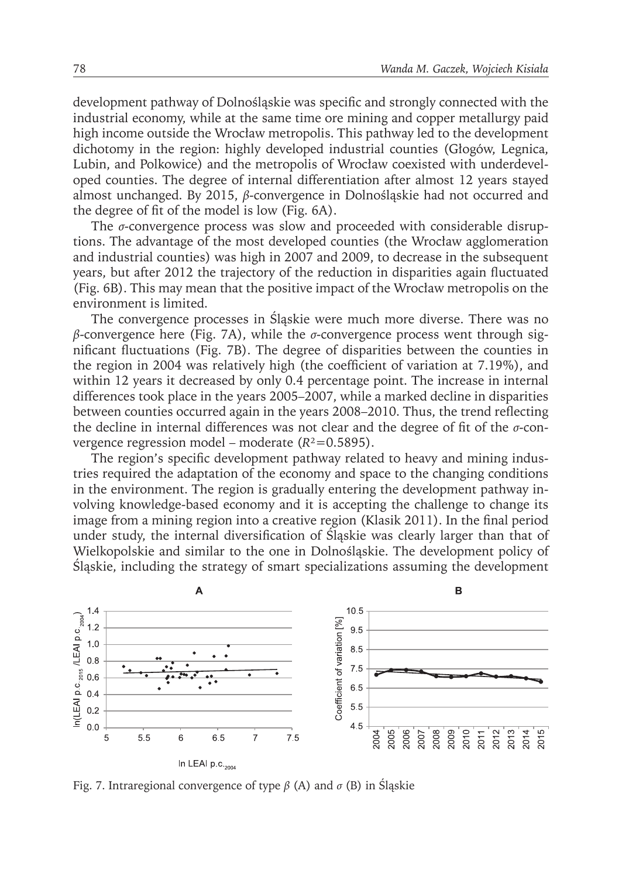development pathway of Dolnośląskie was specific and strongly connected with the industrial economy, while at the same time ore mining and copper metallurgy paid high income outside the Wrocław metropolis. This pathway led to the development dichotomy in the region: highly developed industrial counties (Głogów, Legnica, Lubin, and Polkowice) and the metropolis of Wrocław coexisted with underdeveloped counties. The degree of internal differentiation after almost 12 years stayed almost unchanged. By 2015, *β*-convergence in Dolnośląskie had not occurred and the degree of fit of the model is low (Fig. 6A).

The *σ*-convergence process was slow and proceeded with considerable disruptions. The advantage of the most developed counties (the Wrocław agglomeration and industrial counties) was high in 2007 and 2009, to decrease in the subsequent years, but after 2012 the trajectory of the reduction in disparities again fluctuated (Fig. 6B). This may mean that the positive impact of the Wrocław metropolis on the environment is limited.

The convergence processes in Śląskie were much more diverse. There was no *β*-convergence here (Fig. 7A), while the *σ*-convergence process went through significant fluctuations (Fig. 7B). The degree of disparities between the counties in the region in 2004 was relatively high (the coefficient of variation at 7.19%), and within 12 years it decreased by only 0.4 percentage point. The increase in internal differences took place in the years 2005–2007, while a marked decline in disparities between counties occurred again in the years 2008–2010. Thus, the trend reflecting the decline in internal differences was not clear and the degree of fit of the *σ*-convergence regression model – moderate (*R*²=0.5895).

The region's specific development pathway related to heavy and mining industries required the adaptation of the economy and space to the changing conditions in the environment. The region is gradually entering the development pathway involving knowledge-based economy and it is accepting the challenge to change its image from a mining region into a creative region (Klasik 2011). In the final period under study, the internal diversification of Śląskie was clearly larger than that of Wielkopolskie and similar to the one in Dolnośląskie. The development policy of Śląskie, including the strategy of smart specializations assuming the development



Fig. 7. Intraregional convergence of type *β* (A) and *σ* (B) in Śląskie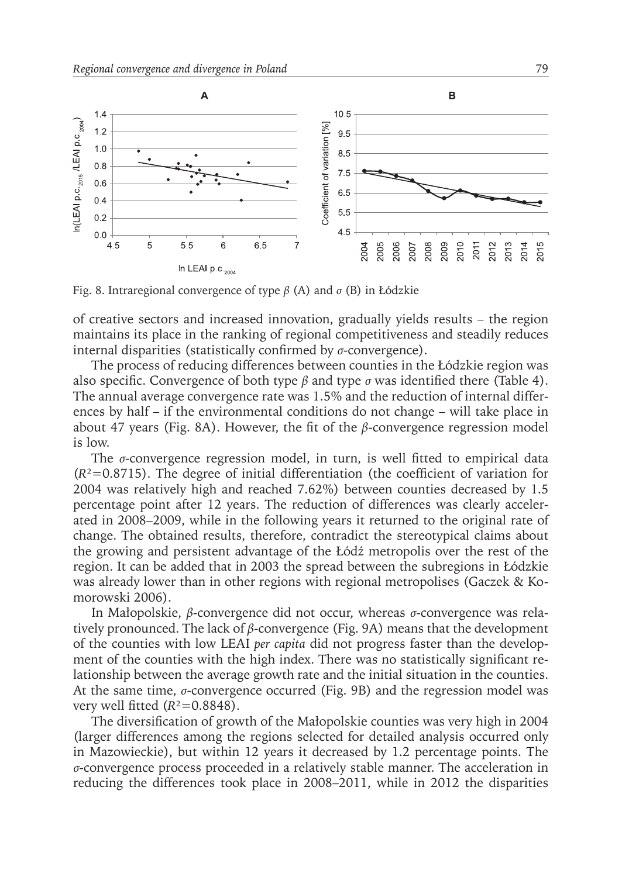

Fig. 8. Intraregional convergence of type *β* (A) and *σ* (B) in Łódzkie

of creative sectors and increased innovation, gradually yields results – the region maintains its place in the ranking of regional competitiveness and steadily reduces internal disparities (statistically confirmed by *σ*-convergence).

The process of reducing differences between counties in the Łódzkie region was also specific. Convergence of both type *β* and type *σ* was identified there (Table 4). The annual average convergence rate was 1.5% and the reduction of internal differences by half – if the environmental conditions do not change – will take place in about 47 years (Fig. 8A). However, the fit of the *β*-convergence regression model is low.

The *σ*-convergence regression model, in turn, is well fitted to empirical data  $(R<sup>2</sup>=0.8715)$ . The degree of initial differentiation (the coefficient of variation for 2004 was relatively high and reached 7.62%) between counties decreased by 1.5 percentage point after 12 years. The reduction of differences was clearly accelerated in 2008–2009, while in the following years it returned to the original rate of change. The obtained results, therefore, contradict the stereotypical claims about the growing and persistent advantage of the Łódź metropolis over the rest of the region. It can be added that in 2003 the spread between the subregions in Łódzkie was already lower than in other regions with regional metropolises (Gaczek & Komorowski 2006).

In Małopolskie, *β*-convergence did not occur, whereas *σ*-convergence was relatively pronounced. The lack of *β*-convergence (Fig. 9A) means that the development of the counties with low LEAI *per capita* did not progress faster than the development of the counties with the high index. There was no statistically significant relationship between the average growth rate and the initial situation in the counties. At the same time, *σ*-convergence occurred (Fig. 9B) and the regression model was very well fitted  $(R^2=0.8848)$ .

The diversification of growth of the Małopolskie counties was very high in 2004 (larger differences among the regions selected for detailed analysis occurred only in Mazowieckie), but within 12 years it decreased by 1.2 percentage points. The *σ*-convergence process proceeded in a relatively stable manner. The acceleration in reducing the differences took place in 2008–2011, while in 2012 the disparities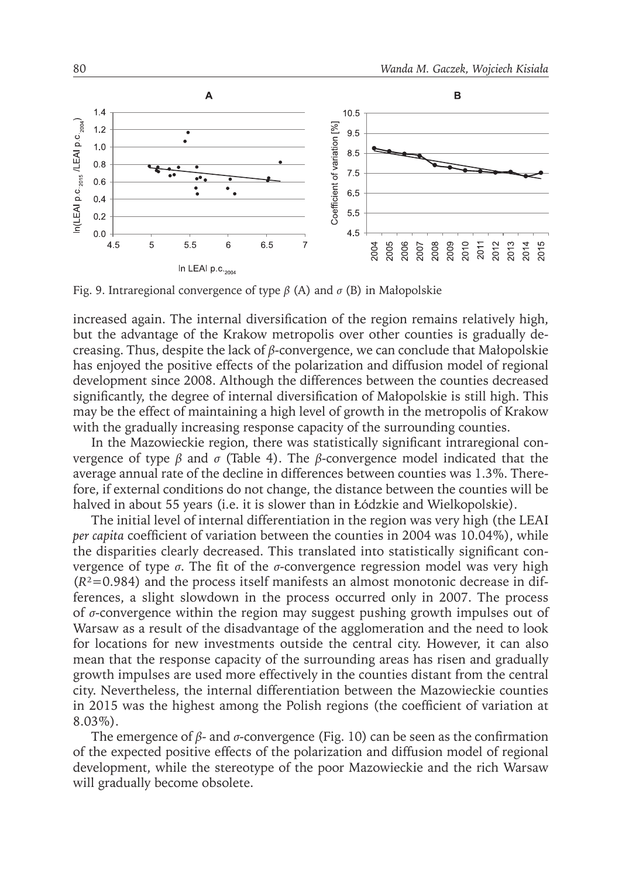

Fig. 9. Intraregional convergence of type *β* (A) and *σ* (B) in Małopolskie

increased again. The internal diversification of the region remains relatively high, but the advantage of the Krakow metropolis over other counties is gradually decreasing. Thus, despite the lack of *β*-convergence, we can conclude that Małopolskie has enjoyed the positive effects of the polarization and diffusion model of regional development since 2008. Although the differences between the counties decreased significantly, the degree of internal diversification of Małopolskie is still high. This may be the effect of maintaining a high level of growth in the metropolis of Krakow with the gradually increasing response capacity of the surrounding counties.

In the Mazowieckie region, there was statistically significant intraregional convergence of type *β* and *σ* (Table 4). The *β*-convergence model indicated that the average annual rate of the decline in differences between counties was 1.3%. Therefore, if external conditions do not change, the distance between the counties will be halved in about 55 years (i.e. it is slower than in Łódzkie and Wielkopolskie).

The initial level of internal differentiation in the region was very high (the LEAI *per capita* coefficient of variation between the counties in 2004 was 10.04%), while the disparities clearly decreased. This translated into statistically significant convergence of type *σ*. The fit of the *σ*-convergence regression model was very high  $(R<sup>2</sup>=0.984)$  and the process itself manifests an almost monotonic decrease in differences, a slight slowdown in the process occurred only in 2007. The process of *σ*-convergence within the region may suggest pushing growth impulses out of Warsaw as a result of the disadvantage of the agglomeration and the need to look for locations for new investments outside the central city. However, it can also mean that the response capacity of the surrounding areas has risen and gradually growth impulses are used more effectively in the counties distant from the central city. Nevertheless, the internal differentiation between the Mazowieckie counties in 2015 was the highest among the Polish regions (the coefficient of variation at 8.03%).

The emergence of *β*- and *σ*-convergence (Fig. 10) can be seen as the confirmation of the expected positive effects of the polarization and diffusion model of regional development, while the stereotype of the poor Mazowieckie and the rich Warsaw will gradually become obsolete.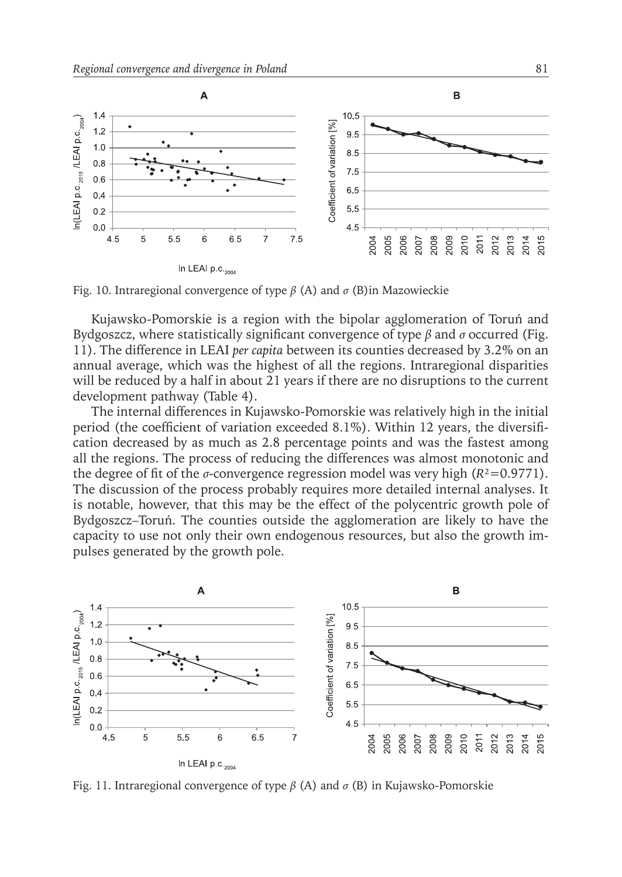

Fig. 10. Intraregional convergence of type *β* (A) and *σ* (B)in Mazowieckie

Kujawsko-Pomorskie is a region with the bipolar agglomeration of Toruń and Bydgoszcz, where statistically significant convergence of type *β* and *σ* occurred (Fig. 11). The difference in LEAI *per capita* between its counties decreased by 3.2% on an annual average, which was the highest of all the regions. Intraregional disparities will be reduced by a half in about 21 years if there are no disruptions to the current development pathway (Table 4).

The internal differences in Kujawsko-Pomorskie was relatively high in the initial period (the coefficient of variation exceeded 8.1%). Within 12 years, the diversification decreased by as much as 2.8 percentage points and was the fastest among all the regions. The process of reducing the differences was almost monotonic and the degree of fit of the  $\sigma$ -convergence regression model was very high ( $R$ <sup>2</sup>=0.9771). The discussion of the process probably requires more detailed internal analyses. It is notable, however, that this may be the effect of the polycentric growth pole of Bydgoszcz–Toruń. The counties outside the agglomeration are likely to have the capacity to use not only their own endogenous resources, but also the growth impulses generated by the growth pole.



Fig. 11. Intraregional convergence of type *β* (A) and *σ* (B) in Kujawsko-Pomorskie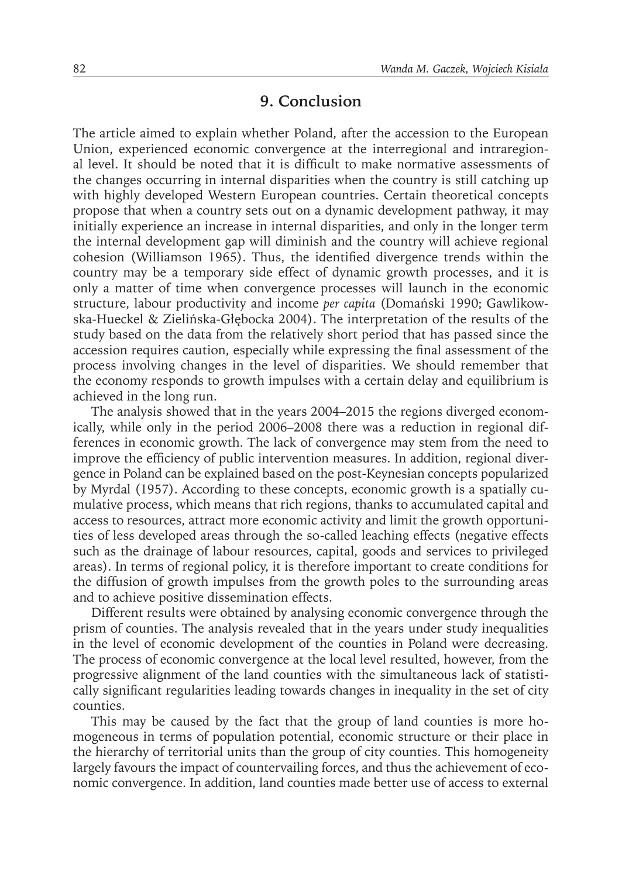#### **9. Conclusion**

The article aimed to explain whether Poland, after the accession to the European Union, experienced economic convergence at the interregional and intraregional level. It should be noted that it is difficult to make normative assessments of the changes occurring in internal disparities when the country is still catching up with highly developed Western European countries. Certain theoretical concepts propose that when a country sets out on a dynamic development pathway, it may initially experience an increase in internal disparities, and only in the longer term the internal development gap will diminish and the country will achieve regional cohesion (Williamson 1965). Thus, the identified divergence trends within the country may be a temporary side effect of dynamic growth processes, and it is only a matter of time when convergence processes will launch in the economic structure, labour productivity and income *per capita* (Domański 1990; Gawlikowska-Hueckel & Zielińska-Głębocka 2004). The interpretation of the results of the study based on the data from the relatively short period that has passed since the accession requires caution, especially while expressing the final assessment of the process involving changes in the level of disparities. We should remember that the economy responds to growth impulses with a certain delay and equilibrium is achieved in the long run.

The analysis showed that in the years 2004–2015 the regions diverged economically, while only in the period 2006–2008 there was a reduction in regional differences in economic growth. The lack of convergence may stem from the need to improve the efficiency of public intervention measures. In addition, regional divergence in Poland can be explained based on the post-Keynesian concepts popularized by Myrdal (1957). According to these concepts, economic growth is a spatially cumulative process, which means that rich regions, thanks to accumulated capital and access to resources, attract more economic activity and limit the growth opportunities of less developed areas through the so-called leaching effects (negative effects such as the drainage of labour resources, capital, goods and services to privileged areas). In terms of regional policy, it is therefore important to create conditions for the diffusion of growth impulses from the growth poles to the surrounding areas and to achieve positive dissemination effects.

Different results were obtained by analysing economic convergence through the prism of counties. The analysis revealed that in the years under study inequalities in the level of economic development of the counties in Poland were decreasing. The process of economic convergence at the local level resulted, however, from the progressive alignment of the land counties with the simultaneous lack of statistically significant regularities leading towards changes in inequality in the set of city counties.

This may be caused by the fact that the group of land counties is more homogeneous in terms of population potential, economic structure or their place in the hierarchy of territorial units than the group of city counties. This homogeneity largely favours the impact of countervailing forces, and thus the achievement of economic convergence. In addition, land counties made better use of access to external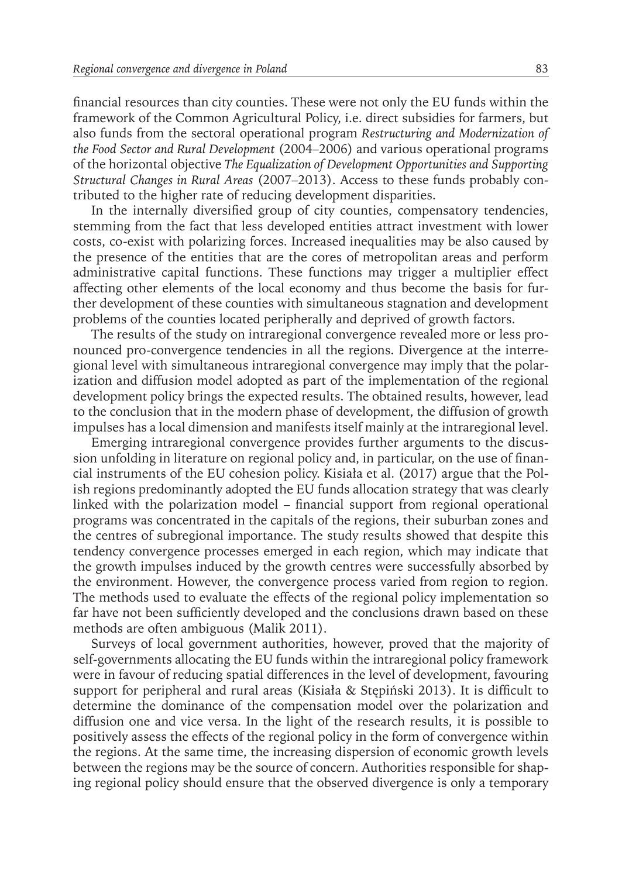financial resources than city counties. These were not only the EU funds within the framework of the Common Agricultural Policy, i.e. direct subsidies for farmers, but also funds from the sectoral operational program *Restructuring and Modernization of the Food Sector and Rural Development* (2004–2006) and various operational programs of the horizontal objective *The Equalization of Development Opportunities and Supporting Structural Changes in Rural Areas* (2007–2013). Access to these funds probably contributed to the higher rate of reducing development disparities.

In the internally diversified group of city counties, compensatory tendencies, stemming from the fact that less developed entities attract investment with lower costs, co-exist with polarizing forces. Increased inequalities may be also caused by the presence of the entities that are the cores of metropolitan areas and perform administrative capital functions. These functions may trigger a multiplier effect affecting other elements of the local economy and thus become the basis for further development of these counties with simultaneous stagnation and development problems of the counties located peripherally and deprived of growth factors.

The results of the study on intraregional convergence revealed more or less pronounced pro-convergence tendencies in all the regions. Divergence at the interregional level with simultaneous intraregional convergence may imply that the polarization and diffusion model adopted as part of the implementation of the regional development policy brings the expected results. The obtained results, however, lead to the conclusion that in the modern phase of development, the diffusion of growth impulses has a local dimension and manifests itself mainly at the intraregional level.

Emerging intraregional convergence provides further arguments to the discussion unfolding in literature on regional policy and, in particular, on the use of financial instruments of the EU cohesion policy. Kisiała et al. (2017) argue that the Polish regions predominantly adopted the EU funds allocation strategy that was clearly linked with the polarization model – financial support from regional operational programs was concentrated in the capitals of the regions, their suburban zones and the centres of subregional importance. The study results showed that despite this tendency convergence processes emerged in each region, which may indicate that the growth impulses induced by the growth centres were successfully absorbed by the environment. However, the convergence process varied from region to region. The methods used to evaluate the effects of the regional policy implementation so far have not been sufficiently developed and the conclusions drawn based on these methods are often ambiguous (Malik 2011).

Surveys of local government authorities, however, proved that the majority of self-governments allocating the EU funds within the intraregional policy framework were in favour of reducing spatial differences in the level of development, favouring support for peripheral and rural areas (Kisiała & Stępiński 2013). It is difficult to determine the dominance of the compensation model over the polarization and diffusion one and vice versa. In the light of the research results, it is possible to positively assess the effects of the regional policy in the form of convergence within the regions. At the same time, the increasing dispersion of economic growth levels between the regions may be the source of concern. Authorities responsible for shaping regional policy should ensure that the observed divergence is only a temporary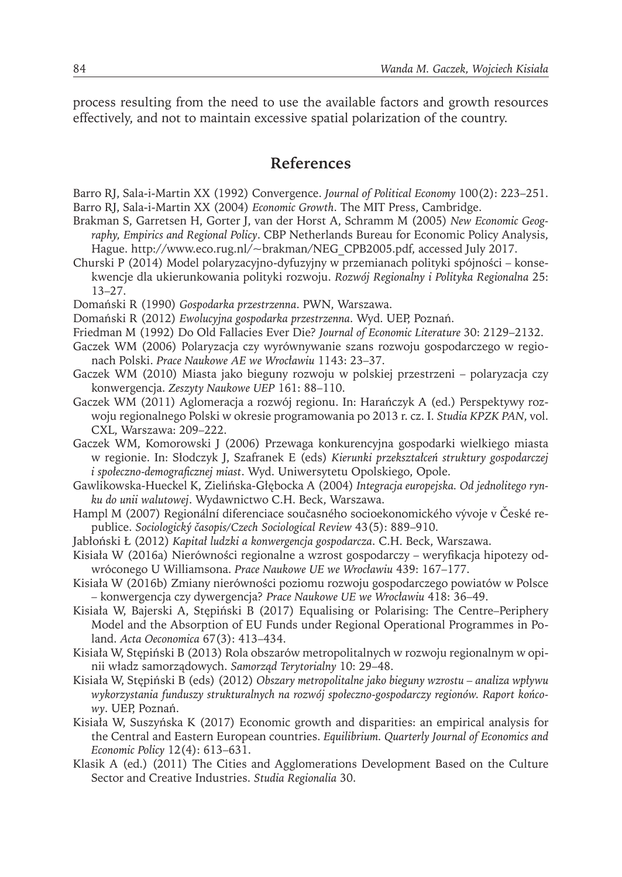process resulting from the need to use the available factors and growth resources effectively, and not to maintain excessive spatial polarization of the country.

## **References**

- Barro RJ, Sala-i-Martin XX (1992) Convergence. *Journal of Political Economy* 100(2): 223–251. Barro RJ, Sala-i-Martin XX (2004) *Economic Growth*. The MIT Press, Cambridge.
- Brakman S, Garretsen H, Gorter J, van der Horst A, Schramm M (2005) *New Economic Geography, Empirics and Regional Policy*. CBP Netherlands Bureau for Economic Policy Analysis, Hague. http://www.eco.rug.nl/~brakman/NEG\_CPB2005.pdf, accessed July 2017.
- Churski P (2014) Model polaryzacyjno-dyfuzyjny w przemianach polityki spójności konsekwencje dla ukierunkowania polityki rozwoju. *Rozwój Regionalny i Polityka Regionalna* 25: 13–27.
- Domański R (1990) *Gospodarka przestrzenna*. PWN, Warszawa.
- Domański R (2012) *Ewolucyjna gospodarka przestrzenna*. Wyd. UEP, Poznań.
- Friedman M (1992) Do Old Fallacies Ever Die? *Journal of Economic Literature* 30: 2129–2132.
- Gaczek WM (2006) Polaryzacja czy wyrównywanie szans rozwoju gospodarczego w regionach Polski. *Prace Naukowe AE we Wrocławiu* 1143: 23–37.
- Gaczek WM (2010) Miasta jako bieguny rozwoju w polskiej przestrzeni polaryzacja czy konwergencja. *Zeszyty Naukowe UEP* 161: 88–110.
- Gaczek WM (2011) Aglomeracja a rozwój regionu. In: Harańczyk A (ed.) Perspektywy rozwoju regionalnego Polski w okresie programowania po 2013 r. cz. I. *Studia KPZK PAN*, vol. CXL, Warszawa: 209–222.
- Gaczek WM, Komorowski J (2006) Przewaga konkurencyjna gospodarki wielkiego miasta w regionie. In: Słodczyk J, Szafranek E (eds) *Kierunki przekształceń struktury gospodarczej i społeczno-demograficznej miast*. Wyd. Uniwersytetu Opolskiego, Opole.
- Gawlikowska-Hueckel K, Zielińska-Głębocka A (2004) *Integracja europejska. Od jednolitego rynku do unii walutowej*. Wydawnictwo C.H. Beck, Warszawa.
- Hampl M (2007) Regionální diferenciace současného socioekonomického vývoje v České republice. *Sociologický časopis/Czech Sociological Review* 43(5): 889–910.
- Jabłoński Ł (2012) *Kapitał ludzki a konwergencja gospodarcza*. C.H. Beck, Warszawa.
- Kisiała W (2016a) Nierówności regionalne a wzrost gospodarczy weryfikacja hipotezy odwróconego U Williamsona. *Prace Naukowe UE we Wrocławiu* 439: 167–177.
- Kisiała W (2016b) Zmiany nierówności poziomu rozwoju gospodarczego powiatów w Polsce – konwergencja czy dywergencja? *Prace Naukowe UE we Wrocławiu* 418: 36–49.
- Kisiała W, Bajerski A, Stępiński B (2017) Equalising or Polarising: The Centre–Periphery Model and the Absorption of EU Funds under Regional Operational Programmes in Poland. *Acta Oeconomica* 67(3): 413–434.
- Kisiała W, Stępiński B (2013) Rola obszarów metropolitalnych w rozwoju regionalnym w opinii władz samorządowych. *Samorząd Terytorialny* 10: 29–48.
- Kisiała W, Stępiński B (eds) (2012) *Obszary metropolitalne jako bieguny wzrostu analiza wpływu wykorzystania funduszy strukturalnych na rozwój społeczno-gospodarczy regionów. Raport końcowy*. UEP, Poznań.
- Kisiała W, Suszyńska K (2017) Economic growth and disparities: an empirical analysis for the Central and Eastern European countries. *Equilibrium. Quarterly Journal of Economics and Economic Policy* 12(4): 613–631.
- Klasik A (ed.) (2011) The Cities and Agglomerations Development Based on the Culture Sector and Creative Industries. *Studia Regionalia* 30.